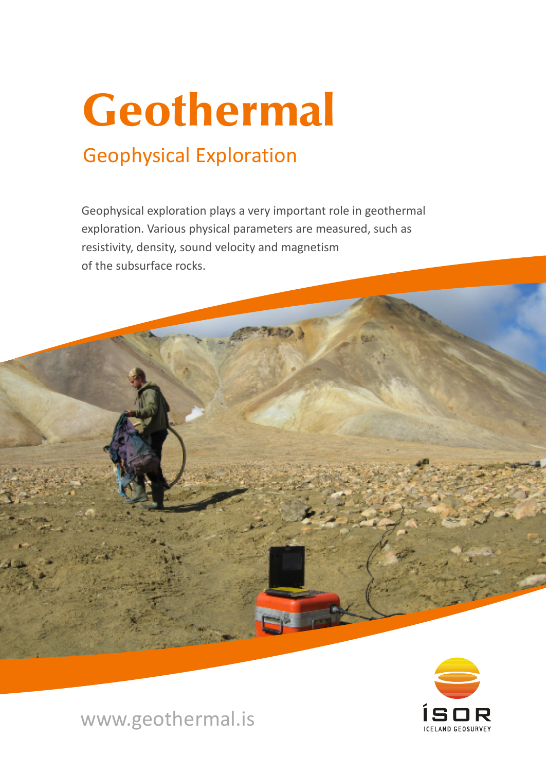# Geothermal

# Geophysical Exploration

Geophysical exploration plays a very important role in geothermal exploration. Various physical parameters are measured, such as resistivity, density, sound velocity and magnetism of the subsurface rocks.



www.geothermal.is